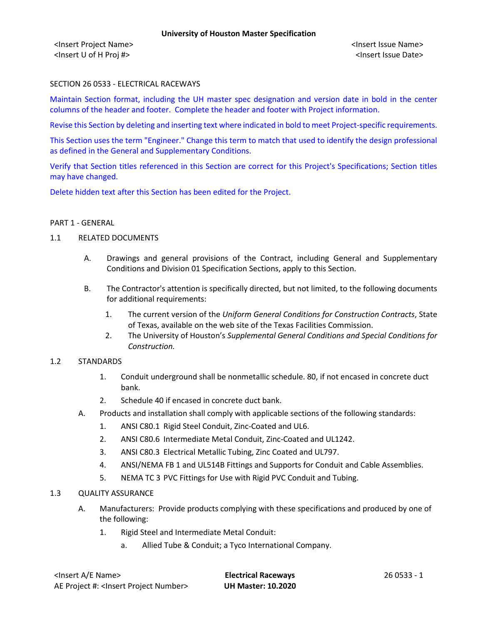<Insert Project Name> <Insert Issue Name> <Insert U of H Proj #> <Insert Issue Date>

## SECTION 26 0533 - ELECTRICAL RACEWAYS

Maintain Section format, including the UH master spec designation and version date in bold in the center columns of the header and footer. Complete the header and footer with Project information.

Revise this Section by deleting and inserting text where indicated in bold to meet Project-specific requirements.

This Section uses the term "Engineer." Change this term to match that used to identify the design professional as defined in the General and Supplementary Conditions.

Verify that Section titles referenced in this Section are correct for this Project's Specifications; Section titles may have changed.

Delete hidden text after this Section has been edited for the Project.

#### PART 1 - GENERAL

## 1.1 RELATED DOCUMENTS

- A. Drawings and general provisions of the Contract, including General and Supplementary Conditions and Division 01 Specification Sections, apply to this Section.
- B. The Contractor's attention is specifically directed, but not limited, to the following documents for additional requirements:
	- 1. The current version of the *Uniform General Conditions for Construction Contracts*, State of Texas, available on the web site of the Texas Facilities Commission.
	- 2. The University of Houston's *Supplemental General Conditions and Special Conditions for Construction.*

### 1.2 STANDARDS

- 1. Conduit underground shall be nonmetallic schedule. 80, if not encased in concrete duct bank.
- 2. Schedule 40 if encased in concrete duct bank.
- A. Products and installation shall comply with applicable sections of the following standards:
	- 1. ANSI C80.1 Rigid Steel Conduit, Zinc-Coated and UL6.
	- 2. ANSI C80.6 Intermediate Metal Conduit, Zinc-Coated and UL1242.
	- 3. ANSI C80.3 Electrical Metallic Tubing, Zinc Coated and UL797.
	- 4. ANSI/NEMA FB 1 and UL514B Fittings and Supports for Conduit and Cable Assemblies.
	- 5. NEMA TC 3 PVC Fittings for Use with Rigid PVC Conduit and Tubing.

### 1.3 QUALITY ASSURANCE

- A. Manufacturers: Provide products complying with these specifications and produced by one of the following:
	- 1. Rigid Steel and Intermediate Metal Conduit:
		- a. Allied Tube & Conduit; a Tyco International Company.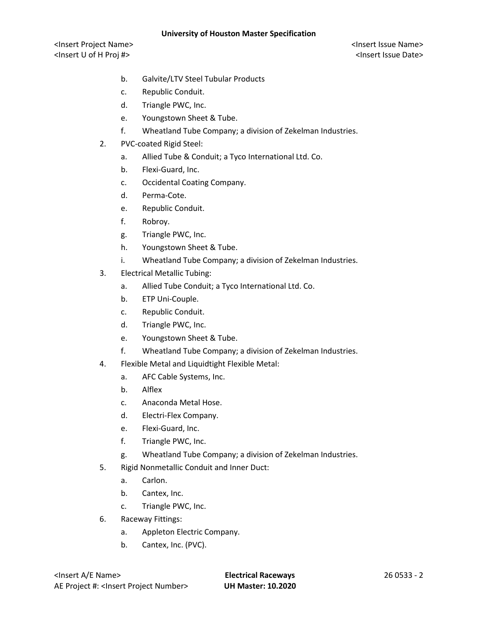<Insert Project Name> <Insert Issue Name> <Insert U of H Proj #> <Insert Issue Date>

- b. Galvite/LTV Steel Tubular Products
- c. Republic Conduit.
- d. Triangle PWC, Inc.
- e. Youngstown Sheet & Tube.
- f. Wheatland Tube Company; a division of Zekelman Industries.
- 2. PVC-coated Rigid Steel:
	- a. Allied Tube & Conduit; a Tyco International Ltd. Co.
	- b. Flexi-Guard, Inc.
	- c. Occidental Coating Company.
	- d. Perma-Cote.
	- e. Republic Conduit.
	- f. Robroy.
	- g. Triangle PWC, Inc.
	- h. Youngstown Sheet & Tube.
	- i. Wheatland Tube Company; a division of Zekelman Industries.
- 3. Electrical Metallic Tubing:
	- a. Allied Tube Conduit; a Tyco International Ltd. Co.
	- b. ETP Uni-Couple.
	- c. Republic Conduit.
	- d. Triangle PWC, Inc.
	- e. Youngstown Sheet & Tube.
	- f. Wheatland Tube Company; a division of Zekelman Industries.
- 4. Flexible Metal and Liquidtight Flexible Metal:
	- a. AFC Cable Systems, Inc.
	- b. Alflex
	- c. Anaconda Metal Hose.
	- d. Electri-Flex Company.
	- e. Flexi-Guard, Inc.
	- f. Triangle PWC, Inc.
	- g. Wheatland Tube Company; a division of Zekelman Industries.
- 5. Rigid Nonmetallic Conduit and Inner Duct:
	- a. Carlon.
	- b. Cantex, Inc.
	- c. Triangle PWC, Inc.
- 6. Raceway Fittings:
	- a. Appleton Electric Company.
	- b. Cantex, Inc. (PVC).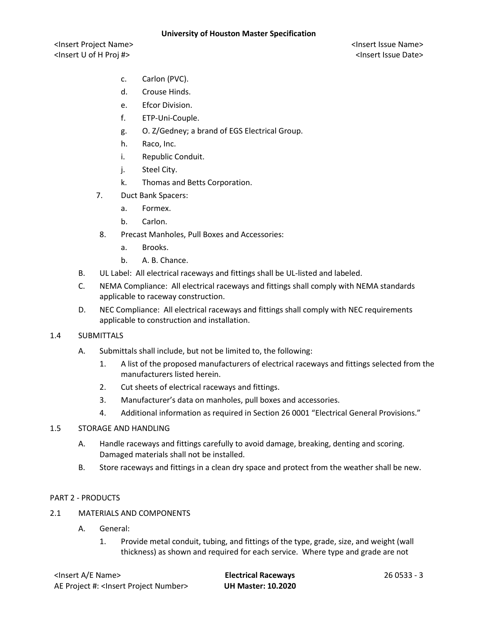<Insert Project Name> <Insert Issue Name> <Insert U of H Proj #> <Insert Issue Date>

- c. Carlon (PVC).
- d. Crouse Hinds.
- e. Efcor Division.
- f. ETP-Uni-Couple.
- g. O. Z/Gedney; a brand of EGS Electrical Group.
- h. Raco, Inc.
- i. Republic Conduit.
- j. Steel City.
- k. Thomas and Betts Corporation.
- 7. Duct Bank Spacers:
	- a. Formex.
	- b. Carlon.
- 8. Precast Manholes, Pull Boxes and Accessories:
	- a. Brooks.
	- b. A. B. Chance.
- B. UL Label: All electrical raceways and fittings shall be UL-listed and labeled.
- C. NEMA Compliance: All electrical raceways and fittings shall comply with NEMA standards applicable to raceway construction.
- D. NEC Compliance: All electrical raceways and fittings shall comply with NEC requirements applicable to construction and installation.

### 1.4 SUBMITTALS

- A. Submittals shall include, but not be limited to, the following:
	- 1. A list of the proposed manufacturers of electrical raceways and fittings selected from the manufacturers listed herein.
	- 2. Cut sheets of electrical raceways and fittings.
	- 3. Manufacturer's data on manholes, pull boxes and accessories.
	- 4. Additional information as required in Section 26 0001 "Electrical General Provisions."

### 1.5 STORAGE AND HANDLING

- A. Handle raceways and fittings carefully to avoid damage, breaking, denting and scoring. Damaged materials shall not be installed.
- B. Store raceways and fittings in a clean dry space and protect from the weather shall be new.

### PART 2 - PRODUCTS

- 2.1 MATERIALS AND COMPONENTS
	- A. General:
		- 1. Provide metal conduit, tubing, and fittings of the type, grade, size, and weight (wall thickness) as shown and required for each service. Where type and grade are not

<Insert A/E Name> **Electrical Raceways** 26 0533 - 3 AE Project #: <Insert Project Number> **UH Master: 10.2020**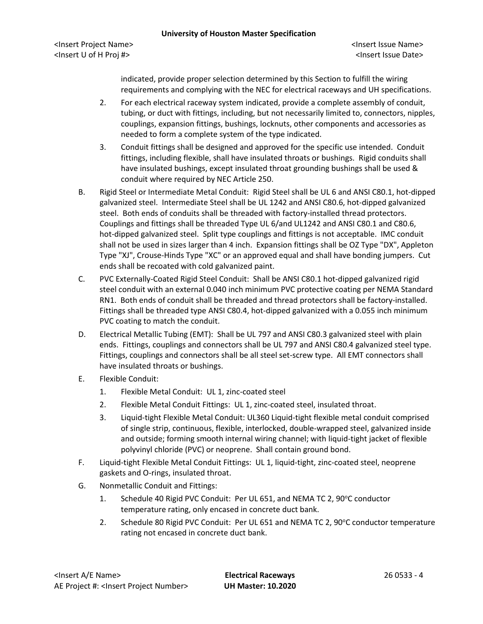indicated, provide proper selection determined by this Section to fulfill the wiring requirements and complying with the NEC for electrical raceways and UH specifications.

- 2. For each electrical raceway system indicated, provide a complete assembly of conduit, tubing, or duct with fittings, including, but not necessarily limited to, connectors, nipples, couplings, expansion fittings, bushings, locknuts, other components and accessories as needed to form a complete system of the type indicated.
- 3. Conduit fittings shall be designed and approved for the specific use intended. Conduit fittings, including flexible, shall have insulated throats or bushings. Rigid conduits shall have insulated bushings, except insulated throat grounding bushings shall be used & conduit where required by NEC Article 250.
- B. Rigid Steel or Intermediate Metal Conduit: Rigid Steel shall be UL 6 and ANSI C80.1, hot-dipped galvanized steel. Intermediate Steel shall be UL 1242 and ANSI C80.6, hot-dipped galvanized steel. Both ends of conduits shall be threaded with factory-installed thread protectors. Couplings and fittings shall be threaded Type UL 6/and UL1242 and ANSI C80.1 and C80.6, hot-dipped galvanized steel. Split type couplings and fittings is not acceptable. IMC conduit shall not be used in sizes larger than 4 inch. Expansion fittings shall be OZ Type "DX", Appleton Type "XJ", Crouse-Hinds Type "XC" or an approved equal and shall have bonding jumpers. Cut ends shall be recoated with cold galvanized paint.
- C. PVC Externally-Coated Rigid Steel Conduit: Shall be ANSI C80.1 hot-dipped galvanized rigid steel conduit with an external 0.040 inch minimum PVC protective coating per NEMA Standard RN1. Both ends of conduit shall be threaded and thread protectors shall be factory-installed. Fittings shall be threaded type ANSI C80.4, hot-dipped galvanized with a 0.055 inch minimum PVC coating to match the conduit.
- D. Electrical Metallic Tubing (EMT): Shall be UL 797 and ANSI C80.3 galvanized steel with plain ends. Fittings, couplings and connectors shall be UL 797 and ANSI C80.4 galvanized steel type. Fittings, couplings and connectors shall be all steel set-screw type. All EMT connectors shall have insulated throats or bushings.
- E. Flexible Conduit:
	- 1. Flexible Metal Conduit: UL 1, zinc-coated steel
	- 2. Flexible Metal Conduit Fittings: UL 1, zinc-coated steel, insulated throat.
	- 3. Liquid-tight Flexible Metal Conduit: UL360 Liquid-tight flexible metal conduit comprised of single strip, continuous, flexible, interlocked, double-wrapped steel, galvanized inside and outside; forming smooth internal wiring channel; with liquid-tight jacket of flexible polyvinyl chloride (PVC) or neoprene. Shall contain ground bond.
- F. Liquid-tight Flexible Metal Conduit Fittings: UL 1, liquid-tight, zinc-coated steel, neoprene gaskets and O-rings, insulated throat.
- G. Nonmetallic Conduit and Fittings:
	- 1. Schedule 40 Rigid PVC Conduit: Per UL 651, and NEMA TC 2, 90°C conductor temperature rating, only encased in concrete duct bank.
	- 2. Schedule 80 Rigid PVC Conduit: Per UL 651 and NEMA TC 2, 90°C conductor temperature rating not encased in concrete duct bank.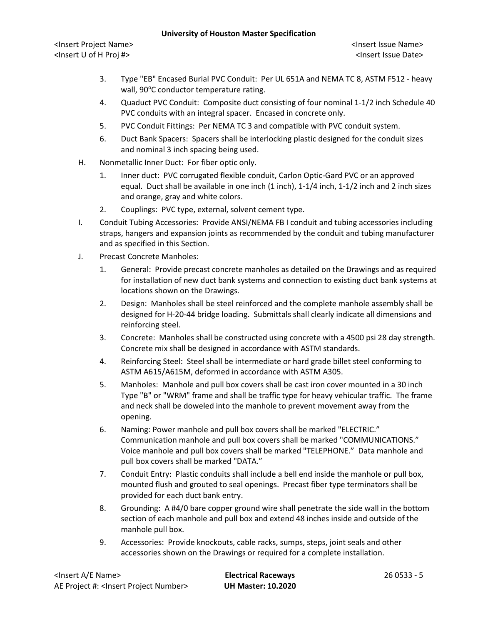<Insert Project Name> <Insert Issue Name> <Insert U of H Proj #> <Insert Issue Date>

- 3. Type "EB" Encased Burial PVC Conduit: Per UL 651A and NEMA TC 8, ASTM F512 heavy wall, 90°C conductor temperature rating.
- 4. Quaduct PVC Conduit: Composite duct consisting of four nominal 1-1/2 inch Schedule 40 PVC conduits with an integral spacer. Encased in concrete only.
- 5. PVC Conduit Fittings: Per NEMA TC 3 and compatible with PVC conduit system.
- 6. Duct Bank Spacers: Spacers shall be interlocking plastic designed for the conduit sizes and nominal 3 inch spacing being used.
- H. Nonmetallic Inner Duct: For fiber optic only.
	- 1. Inner duct: PVC corrugated flexible conduit, Carlon Optic-Gard PVC or an approved equal. Duct shall be available in one inch (1 inch), 1-1/4 inch, 1-1/2 inch and 2 inch sizes and orange, gray and white colors.
	- 2. Couplings: PVC type, external, solvent cement type.
- I. Conduit Tubing Accessories: Provide ANSI/NEMA FB I conduit and tubing accessories including straps, hangers and expansion joints as recommended by the conduit and tubing manufacturer and as specified in this Section.
- J. Precast Concrete Manholes:
	- 1. General: Provide precast concrete manholes as detailed on the Drawings and as required for installation of new duct bank systems and connection to existing duct bank systems at locations shown on the Drawings.
	- 2. Design: Manholes shall be steel reinforced and the complete manhole assembly shall be designed for H-20-44 bridge loading. Submittals shall clearly indicate all dimensions and reinforcing steel.
	- 3. Concrete: Manholes shall be constructed using concrete with a 4500 psi 28 day strength. Concrete mix shall be designed in accordance with ASTM standards.
	- 4. Reinforcing Steel: Steel shall be intermediate or hard grade billet steel conforming to ASTM A615/A615M, deformed in accordance with ASTM A305.
	- 5. Manholes: Manhole and pull box covers shall be cast iron cover mounted in a 30 inch Type "B" or "WRM" frame and shall be traffic type for heavy vehicular traffic. The frame and neck shall be doweled into the manhole to prevent movement away from the opening.
	- 6. Naming: Power manhole and pull box covers shall be marked "ELECTRIC." Communication manhole and pull box covers shall be marked "COMMUNICATIONS." Voice manhole and pull box covers shall be marked "TELEPHONE." Data manhole and pull box covers shall be marked "DATA."
	- 7. Conduit Entry: Plastic conduits shall include a bell end inside the manhole or pull box, mounted flush and grouted to seal openings. Precast fiber type terminators shall be provided for each duct bank entry.
	- 8. Grounding: A #4/0 bare copper ground wire shall penetrate the side wall in the bottom section of each manhole and pull box and extend 48 inches inside and outside of the manhole pull box.
	- 9. Accessories: Provide knockouts, cable racks, sumps, steps, joint seals and other accessories shown on the Drawings or required for a complete installation.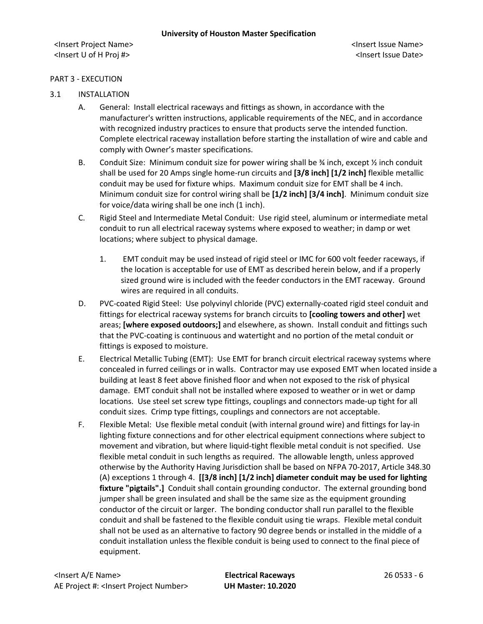## PART 3 - EXECUTION

# 3.1 INSTALLATION

- A. General: Install electrical raceways and fittings as shown, in accordance with the manufacturer's written instructions, applicable requirements of the NEC, and in accordance with recognized industry practices to ensure that products serve the intended function. Complete electrical raceway installation before starting the installation of wire and cable and comply with Owner's master specifications.
- B. Conduit Size: Minimum conduit size for power wiring shall be  $\frac{3}{4}$  inch, except  $\frac{1}{2}$  inch conduit shall be used for 20 Amps single home-run circuits and **[3/8 inch] [1/2 inch]** flexible metallic conduit may be used for fixture whips. Maximum conduit size for EMT shall be 4 inch. Minimum conduit size for control wiring shall be **[1/2 inch] [3/4 inch]**. Minimum conduit size for voice/data wiring shall be one inch (1 inch).
- C. Rigid Steel and Intermediate Metal Conduit: Use rigid steel, aluminum or intermediate metal conduit to run all electrical raceway systems where exposed to weather; in damp or wet locations; where subject to physical damage.
	- 1. EMT conduit may be used instead of rigid steel or IMC for 600 volt feeder raceways, if the location is acceptable for use of EMT as described herein below, and if a properly sized ground wire is included with the feeder conductors in the EMT raceway.Ground wires are required in all conduits.
- D. PVC-coated Rigid Steel: Use polyvinyl chloride (PVC) externally-coated rigid steel conduit and fittings for electrical raceway systems for branch circuits to **[cooling towers and other]** wet areas; **[where exposed outdoors;]** and elsewhere, as shown. Install conduit and fittings such that the PVC-coating is continuous and watertight and no portion of the metal conduit or fittings is exposed to moisture.
- E. Electrical Metallic Tubing (EMT): Use EMT for branch circuit electrical raceway systems where concealed in furred ceilings or in walls. Contractor may use exposed EMT when located inside a building at least 8 feet above finished floor and when not exposed to the risk of physical damage. EMT conduit shall not be installed where exposed to weather or in wet or damp locations. Use steel set screw type fittings, couplings and connectors made-up tight for all conduit sizes. Crimp type fittings, couplings and connectors are not acceptable.
- F. Flexible Metal: Use flexible metal conduit (with internal ground wire) and fittings for lay-in lighting fixture connections and for other electrical equipment connections where subject to movement and vibration, but where liquid-tight flexible metal conduit is not specified. Use flexible metal conduit in such lengths as required. The allowable length, unless approved otherwise by the Authority Having Jurisdiction shall be based on NFPA 70-2017, Article 348.30 (A) exceptions 1 through 4. **[[3/8 inch] [1/2 inch] diameter conduit may be used for lighting fixture "pigtails".]** Conduit shall contain grounding conductor. The external grounding bond jumper shall be green insulated and shall be the same size as the equipment grounding conductor of the circuit or larger. The bonding conductor shall run parallel to the flexible conduit and shall be fastened to the flexible conduit using tie wraps. Flexible metal conduit shall not be used as an alternative to factory 90 degree bends or installed in the middle of a conduit installation unless the flexible conduit is being used to connect to the final piece of equipment.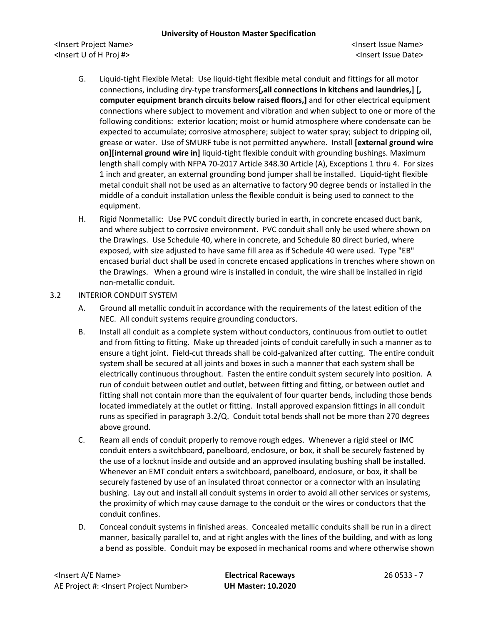<Insert Project Name> <Insert Issue Name> <Insert U of H Proj #> <Insert Issue Date>

- G. Liquid-tight Flexible Metal: Use liquid-tight flexible metal conduit and fittings for all motor connections, including dry-type transformers**[,all connections in kitchens and laundries,] [, computer equipment branch circuits below raised floors,]** and for other electrical equipment connections where subject to movement and vibration and when subject to one or more of the following conditions: exterior location; moist or humid atmosphere where condensate can be expected to accumulate; corrosive atmosphere; subject to water spray; subject to dripping oil, grease or water. Use of SMURF tube is not permitted anywhere. Install **[external ground wire on][internal ground wire in]** liquid-tight flexible conduit with grounding bushings. Maximum length shall comply with NFPA 70-2017 Article 348.30 Article (A), Exceptions 1 thru 4. For sizes 1 inch and greater, an external grounding bond jumper shall be installed. Liquid-tight flexible metal conduit shall not be used as an alternative to factory 90 degree bends or installed in the middle of a conduit installation unless the flexible conduit is being used to connect to the equipment.
- H. Rigid Nonmetallic: Use PVC conduit directly buried in earth, in concrete encased duct bank, and where subject to corrosive environment. PVC conduit shall only be used where shown on the Drawings. Use Schedule 40, where in concrete, and Schedule 80 direct buried, where exposed, with size adjusted to have same fill area as if Schedule 40 were used. Type "EB" encased burial duct shall be used in concrete encased applications in trenches where shown on the Drawings. When a ground wire is installed in conduit, the wire shall be installed in rigid non-metallic conduit.

## 3.2 INTERIOR CONDUIT SYSTEM

- A. Ground all metallic conduit in accordance with the requirements of the latest edition of the NEC. All conduit systems require grounding conductors.
- B. Install all conduit as a complete system without conductors, continuous from outlet to outlet and from fitting to fitting. Make up threaded joints of conduit carefully in such a manner as to ensure a tight joint. Field-cut threads shall be cold-galvanized after cutting. The entire conduit system shall be secured at all joints and boxes in such a manner that each system shall be electrically continuous throughout. Fasten the entire conduit system securely into position. A run of conduit between outlet and outlet, between fitting and fitting, or between outlet and fitting shall not contain more than the equivalent of four quarter bends, including those bends located immediately at the outlet or fitting. Install approved expansion fittings in all conduit runs as specified in paragraph 3.2/Q. Conduit total bends shall not be more than 270 degrees above ground.
- C. Ream all ends of conduit properly to remove rough edges. Whenever a rigid steel or IMC conduit enters a switchboard, panelboard, enclosure, or box, it shall be securely fastened by the use of a locknut inside and outside and an approved insulating bushing shall be installed. Whenever an EMT conduit enters a switchboard, panelboard, enclosure, or box, it shall be securely fastened by use of an insulated throat connector or a connector with an insulating bushing. Lay out and install all conduit systems in order to avoid all other services or systems, the proximity of which may cause damage to the conduit or the wires or conductors that the conduit confines.
- D. Conceal conduit systems in finished areas. Concealed metallic conduits shall be run in a direct manner, basically parallel to, and at right angles with the lines of the building, and with as long a bend as possible. Conduit may be exposed in mechanical rooms and where otherwise shown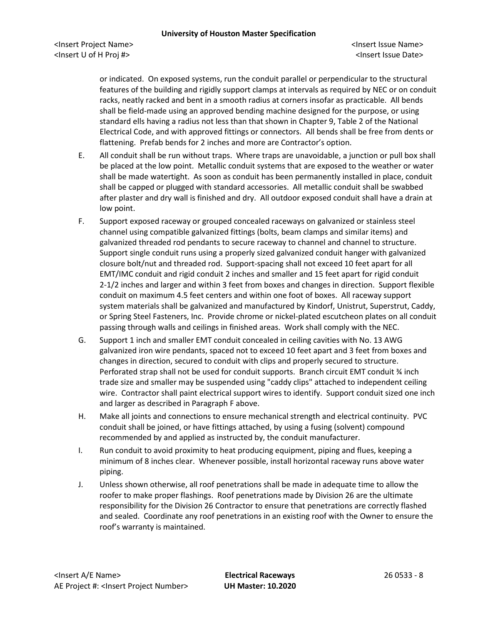or indicated. On exposed systems, run the conduit parallel or perpendicular to the structural features of the building and rigidly support clamps at intervals as required by NEC or on conduit racks, neatly racked and bent in a smooth radius at corners insofar as practicable. All bends shall be field-made using an approved bending machine designed for the purpose, or using standard ells having a radius not less than that shown in Chapter 9, Table 2 of the National Electrical Code, and with approved fittings or connectors. All bends shall be free from dents or flattening. Prefab bends for 2 inches and more are Contractor's option.

- E. All conduit shall be run without traps. Where traps are unavoidable, a junction or pull box shall be placed at the low point. Metallic conduit systems that are exposed to the weather or water shall be made watertight. As soon as conduit has been permanently installed in place, conduit shall be capped or plugged with standard accessories. All metallic conduit shall be swabbed after plaster and dry wall is finished and dry. All outdoor exposed conduit shall have a drain at low point.
- F. Support exposed raceway or grouped concealed raceways on galvanized or stainless steel channel using compatible galvanized fittings (bolts, beam clamps and similar items) and galvanized threaded rod pendants to secure raceway to channel and channel to structure. Support single conduit runs using a properly sized galvanized conduit hanger with galvanized closure bolt/nut and threaded rod. Support-spacing shall not exceed 10 feet apart for all EMT/IMC conduit and rigid conduit 2 inches and smaller and 15 feet apart for rigid conduit 2-1/2 inches and larger and within 3 feet from boxes and changes in direction. Support flexible conduit on maximum 4.5 feet centers and within one foot of boxes. All raceway support system materials shall be galvanized and manufactured by Kindorf, Unistrut, Superstrut, Caddy, or Spring Steel Fasteners, Inc. Provide chrome or nickel-plated escutcheon plates on all conduit passing through walls and ceilings in finished areas. Work shall comply with the NEC.
- G. Support 1 inch and smaller EMT conduit concealed in ceiling cavities with No. 13 AWG galvanized iron wire pendants, spaced not to exceed 10 feet apart and 3 feet from boxes and changes in direction, secured to conduit with clips and properly secured to structure. Perforated strap shall not be used for conduit supports. Branch circuit EMT conduit ¾ inch trade size and smaller may be suspended using "caddy clips" attached to independent ceiling wire. Contractor shall paint electrical support wires to identify. Support conduit sized one inch and larger as described in Paragraph F above.
- H. Make all joints and connections to ensure mechanical strength and electrical continuity. PVC conduit shall be joined, or have fittings attached, by using a fusing (solvent) compound recommended by and applied as instructed by, the conduit manufacturer.
- I. Run conduit to avoid proximity to heat producing equipment, piping and flues, keeping a minimum of 8 inches clear. Whenever possible, install horizontal raceway runs above water piping.
- J. Unless shown otherwise, all roof penetrations shall be made in adequate time to allow the roofer to make proper flashings. Roof penetrations made by Division 26 are the ultimate responsibility for the Division 26 Contractor to ensure that penetrations are correctly flashed and sealed. Coordinate any roof penetrations in an existing roof with the Owner to ensure the roof's warranty is maintained.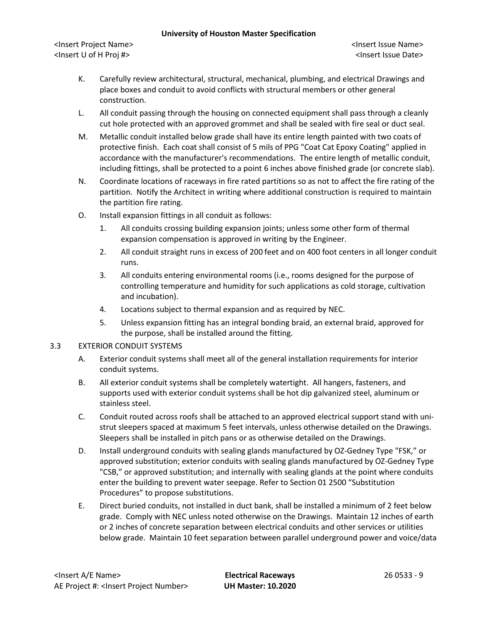<Insert Project Name> <Insert Issue Name> <Insert U of H Proj #> <Insert Issue Date>

- K. Carefully review architectural, structural, mechanical, plumbing, and electrical Drawings and place boxes and conduit to avoid conflicts with structural members or other general construction.
- L. All conduit passing through the housing on connected equipment shall pass through a cleanly cut hole protected with an approved grommet and shall be sealed with fire seal or duct seal.
- M. Metallic conduit installed below grade shall have its entire length painted with two coats of protective finish. Each coat shall consist of 5 mils of PPG "Coat Cat Epoxy Coating" applied in accordance with the manufacturer's recommendations. The entire length of metallic conduit, including fittings, shall be protected to a point 6 inches above finished grade (or concrete slab).
- N. Coordinate locations of raceways in fire rated partitions so as not to affect the fire rating of the partition. Notify the Architect in writing where additional construction is required to maintain the partition fire rating.
- O. Install expansion fittings in all conduit as follows:
	- 1. All conduits crossing building expansion joints; unless some other form of thermal expansion compensation is approved in writing by the Engineer.
	- 2. All conduit straight runs in excess of 200 feet and on 400 foot centers in all longer conduit runs.
	- 3. All conduits entering environmental rooms (i.e., rooms designed for the purpose of controlling temperature and humidity for such applications as cold storage, cultivation and incubation).
	- 4. Locations subject to thermal expansion and as required by NEC.
	- 5. Unless expansion fitting has an integral bonding braid, an external braid, approved for the purpose, shall be installed around the fitting.

## 3.3 EXTERIOR CONDUIT SYSTEMS

- A. Exterior conduit systems shall meet all of the general installation requirements for interior conduit systems.
- B. All exterior conduit systems shall be completely watertight. All hangers, fasteners, and supports used with exterior conduit systems shall be hot dip galvanized steel, aluminum or stainless steel.
- C. Conduit routed across roofs shall be attached to an approved electrical support stand with unistrut sleepers spaced at maximum 5 feet intervals, unless otherwise detailed on the Drawings. Sleepers shall be installed in pitch pans or as otherwise detailed on the Drawings.
- D. Install underground conduits with sealing glands manufactured by OZ-Gedney Type "FSK," or approved substitution; exterior conduits with sealing glands manufactured by OZ-Gedney Type "CSB," or approved substitution; and internally with sealing glands at the point where conduits enter the building to prevent water seepage. Refer to Section 01 2500 "Substitution Procedures" to propose substitutions.
- E. Direct buried conduits, not installed in duct bank, shall be installed a minimum of 2 feet below grade. Comply with NEC unless noted otherwise on the Drawings. Maintain 12 inches of earth or 2 inches of concrete separation between electrical conduits and other services or utilities below grade. Maintain 10 feet separation between parallel underground power and voice/data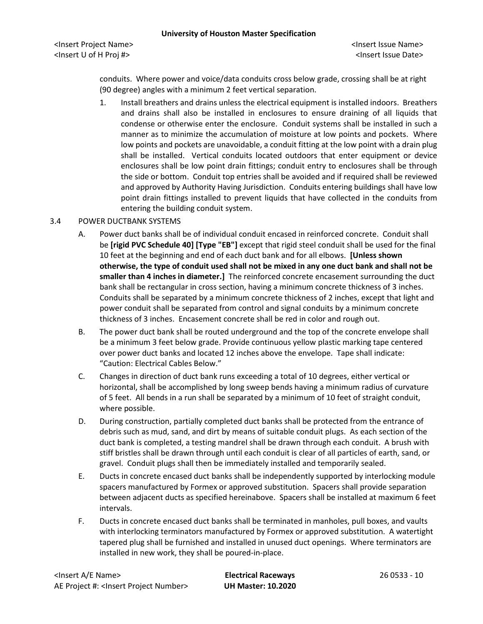<Insert Project Name> <Insert Issue Name> <Insert U of H Proj #> <Insert Issue Date>

conduits. Where power and voice/data conduits cross below grade, crossing shall be at right (90 degree) angles with a minimum 2 feet vertical separation.

1. Install breathers and drains unless the electrical equipment is installed indoors. Breathers and drains shall also be installed in enclosures to ensure draining of all liquids that condense or otherwise enter the enclosure. Conduit systems shall be installed in such a manner as to minimize the accumulation of moisture at low points and pockets. Where low points and pockets are unavoidable, a conduit fitting at the low point with a drain plug shall be installed. Vertical conduits located outdoors that enter equipment or device enclosures shall be low point drain fittings; conduit entry to enclosures shall be through the side or bottom. Conduit top entries shall be avoided and if required shall be reviewed and approved by Authority Having Jurisdiction. Conduits entering buildings shall have low point drain fittings installed to prevent liquids that have collected in the conduits from entering the building conduit system.

## 3.4 POWER DUCTBANK SYSTEMS

- A. Power duct banks shall be of individual conduit encased in reinforced concrete. Conduit shall be **[rigid PVC Schedule 40] [Type "EB"]** except that rigid steel conduit shall be used for the final 10 feet at the beginning and end of each duct bank and for all elbows. **[Unless shown otherwise, the type of conduit used shall not be mixed in any one duct bank and shall not be smaller than 4 inches in diameter.]** The reinforced concrete encasement surrounding the duct bank shall be rectangular in cross section, having a minimum concrete thickness of 3 inches. Conduits shall be separated by a minimum concrete thickness of 2 inches, except that light and power conduit shall be separated from control and signal conduits by a minimum concrete thickness of 3 inches. Encasement concrete shall be red in color and rough out.
- B. The power duct bank shall be routed underground and the top of the concrete envelope shall be a minimum 3 feet below grade. Provide continuous yellow plastic marking tape centered over power duct banks and located 12 inches above the envelope. Tape shall indicate: "Caution: Electrical Cables Below."
- C. Changes in direction of duct bank runs exceeding a total of 10 degrees, either vertical or horizontal, shall be accomplished by long sweep bends having a minimum radius of curvature of 5 feet. All bends in a run shall be separated by a minimum of 10 feet of straight conduit, where possible.
- D. During construction, partially completed duct banks shall be protected from the entrance of debris such as mud, sand, and dirt by means of suitable conduit plugs. As each section of the duct bank is completed, a testing mandrel shall be drawn through each conduit. A brush with stiff bristles shall be drawn through until each conduit is clear of all particles of earth, sand, or gravel. Conduit plugs shall then be immediately installed and temporarily sealed.
- E. Ducts in concrete encased duct banks shall be independently supported by interlocking module spacers manufactured by Formex or approved substitution. Spacers shall provide separation between adjacent ducts as specified hereinabove. Spacers shall be installed at maximum 6 feet intervals.
- F. Ducts in concrete encased duct banks shall be terminated in manholes, pull boxes, and vaults with interlocking terminators manufactured by Formex or approved substitution. A watertight tapered plug shall be furnished and installed in unused duct openings. Where terminators are installed in new work, they shall be poured-in-place.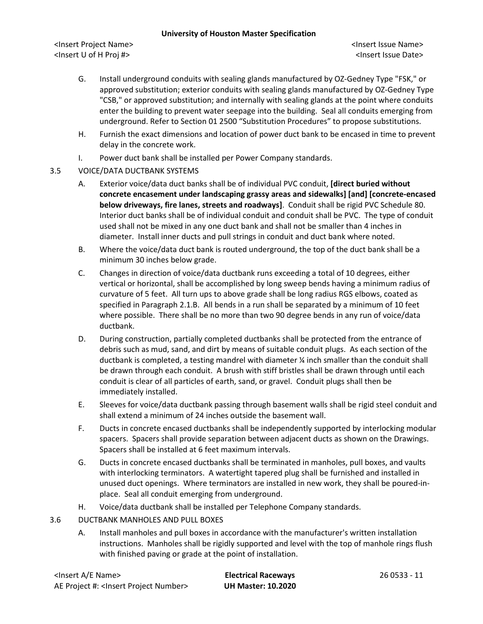<Insert Project Name> <Insert Issue Name> <Insert U of H Proj #> <Insert Issue Date>

- G. Install underground conduits with sealing glands manufactured by OZ-Gedney Type "FSK," or approved substitution; exterior conduits with sealing glands manufactured by OZ-Gedney Type "CSB," or approved substitution; and internally with sealing glands at the point where conduits enter the building to prevent water seepage into the building. Seal all conduits emerging from underground. Refer to Section 01 2500 "Substitution Procedures" to propose substitutions.
- H. Furnish the exact dimensions and location of power duct bank to be encased in time to prevent delay in the concrete work.
- I. Power duct bank shall be installed per Power Company standards.
- 3.5 VOICE/DATA DUCTBANK SYSTEMS
	- A. Exterior voice/data duct banks shall be of individual PVC conduit, **[direct buried without concrete encasement under landscaping grassy areas and sidewalks] [and] [concrete-encased below driveways, fire lanes, streets and roadways]**. Conduit shall be rigid PVC Schedule 80. Interior duct banks shall be of individual conduit and conduit shall be PVC. The type of conduit used shall not be mixed in any one duct bank and shall not be smaller than 4 inches in diameter. Install inner ducts and pull strings in conduit and duct bank where noted.
	- B. Where the voice/data duct bank is routed underground, the top of the duct bank shall be a minimum 30 inches below grade.
	- C. Changes in direction of voice/data ductbank runs exceeding a total of 10 degrees, either vertical or horizontal, shall be accomplished by long sweep bends having a minimum radius of curvature of 5 feet. All turn ups to above grade shall be long radius RGS elbows, coated as specified in Paragraph 2.1.B. All bends in a run shall be separated by a minimum of 10 feet where possible. There shall be no more than two 90 degree bends in any run of voice/data ductbank.
	- D. During construction, partially completed ductbanks shall be protected from the entrance of debris such as mud, sand, and dirt by means of suitable conduit plugs. As each section of the ductbank is completed, a testing mandrel with diameter ¼ inch smaller than the conduit shall be drawn through each conduit. A brush with stiff bristles shall be drawn through until each conduit is clear of all particles of earth, sand, or gravel. Conduit plugs shall then be immediately installed.
	- E. Sleeves for voice/data ductbank passing through basement walls shall be rigid steel conduit and shall extend a minimum of 24 inches outside the basement wall.
	- F. Ducts in concrete encased ductbanks shall be independently supported by interlocking modular spacers. Spacers shall provide separation between adjacent ducts as shown on the Drawings. Spacers shall be installed at 6 feet maximum intervals.
	- G. Ducts in concrete encased ductbanks shall be terminated in manholes, pull boxes, and vaults with interlocking terminators. A watertight tapered plug shall be furnished and installed in unused duct openings. Where terminators are installed in new work, they shall be poured-inplace. Seal all conduit emerging from underground.
	- H. Voice/data ductbank shall be installed per Telephone Company standards.
- 3.6 DUCTBANK MANHOLES AND PULL BOXES
	- A. Install manholes and pull boxes in accordance with the manufacturer's written installation instructions. Manholes shall be rigidly supported and level with the top of manhole rings flush with finished paving or grade at the point of installation.